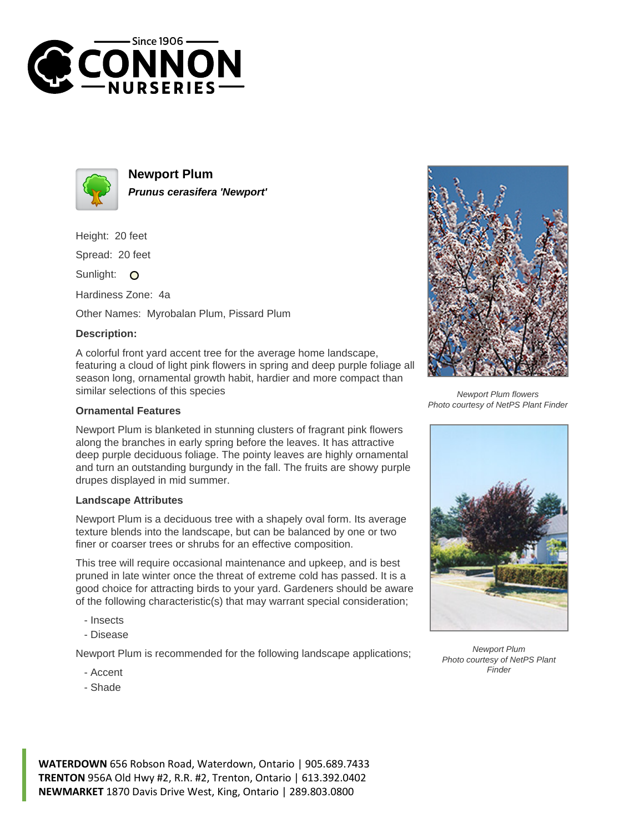



**Newport Plum Prunus cerasifera 'Newport'**

Height: 20 feet

Spread: 20 feet

Sunlight: O

Hardiness Zone: 4a

Other Names: Myrobalan Plum, Pissard Plum

## **Description:**

A colorful front yard accent tree for the average home landscape, featuring a cloud of light pink flowers in spring and deep purple foliage all season long, ornamental growth habit, hardier and more compact than similar selections of this species

## **Ornamental Features**

Newport Plum is blanketed in stunning clusters of fragrant pink flowers along the branches in early spring before the leaves. It has attractive deep purple deciduous foliage. The pointy leaves are highly ornamental and turn an outstanding burgundy in the fall. The fruits are showy purple drupes displayed in mid summer.

## **Landscape Attributes**

Newport Plum is a deciduous tree with a shapely oval form. Its average texture blends into the landscape, but can be balanced by one or two finer or coarser trees or shrubs for an effective composition.

This tree will require occasional maintenance and upkeep, and is best pruned in late winter once the threat of extreme cold has passed. It is a good choice for attracting birds to your yard. Gardeners should be aware of the following characteristic(s) that may warrant special consideration;

- Insects
- Disease

Newport Plum is recommended for the following landscape applications;

- Accent
- Shade



Newport Plum flowers Photo courtesy of NetPS Plant Finder



Newport Plum Photo courtesy of NetPS Plant Finder